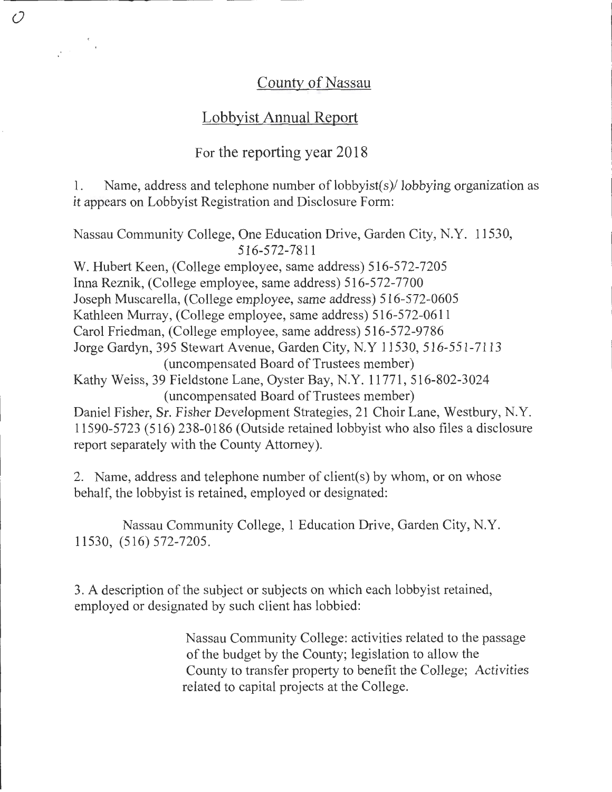# County of Nassau

# Lobbyist Annual Report

 $\mathcal O$ 

 $\frac{1}{\sqrt{2}}\left(\frac{1}{\sqrt{2}}\right)^{1/2}\frac{1}{\sqrt{2}}\left(\frac{1}{\sqrt{2}}\right)^{1/2}$ 

# For the reporting year 2018

1. Name, address and telephone number of lobbyist(s)/lobbying organization as it appears on Lobbyist Registration and Disclosure Form:

Nassau Community College, One Education Drive, Garden City, N.Y. 11530, 516-572-7811 W. Hubert Keen, (College employee, same address) 516-572-7205 InnaReznik, (College employee, same address) 516-572-7700 Joseph Muscarella, (College employee, same address) 516-572-0605 Kathleen Murray, (College employee, same address) 516-572-0611 Carol Friedman, (College employee, same address) 516-572-9786 Jorge Gardyn, 395 Stewart Avenue, Garden City, N.Y 11530, 516-551-7113 (uncompensated Board of Trustees member) Kathy Weiss, 39 Fieldstone Lane, Oyster Bay, N.Y. 11771, 516-802-3024 (uncompensated Board of Trustees member) Daniel Fisher, Sr. Fisher Development Strategies, 21 Choir Lane, Westbury, N.Y. 11590-5723 (516) 238-0186 (Outside retained lobbyist who also files a disclosure report separately with the County Attorney).

2. Name, address and telephone number of client(s) by whom, or on whose behalf, the lobbyist is retained, employed or designated:

Nassau Community College, 1 Education Drive, Garden City, N.Y. 11530, (516) 572-7205.

3. A description of the subject or subjects on which each lobbyist retained, employed or designated by such client has lobbied:

> Nassau Community College: activities related to the passage of the budget by the County; legislation to allow the County to transfer property to benefit the College; Activities related to capital projects at the College.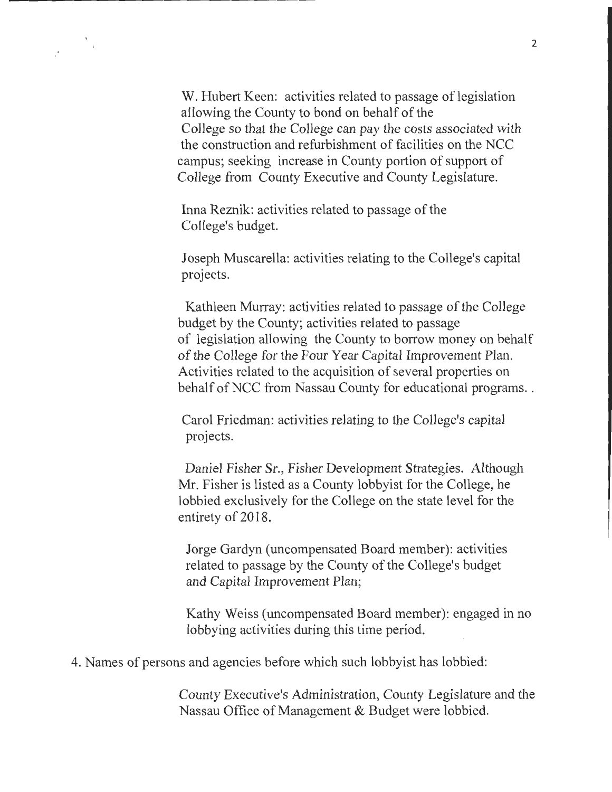W. Hubert Keen: activities related to passage of legislation allowing the County to bond on behalf of the College so that the College can pay the costs associated with the construction and refurbishment of facilities on the NCC campus; seeking increase in County portion of support of College from County Executive and County Legislature.

Inna Reznik: activities related to passage of the College's budget.

Joseph Muscarella: activities relating to the College's capital projects.

Kathleen Murray: activities related to passage of the College budget by the County; activities related to passage of legislation allowing the County to borrow money on behalf of the College for the Four Year Capital Improvement Plan. Activities related to the acquisition of several properties on behalf of NCC from Nassau County for educational programs...

Carol Friedman: activities relating to the College's capital projects.

Daniel Fisher Sr., Fisher Development Strategies. Although Mr. Fisher is listed as a County lobbyist for the College, he lobbied exclusively for the College on the state level for the entirety of 2018.

Jorge Gardyn (uncompensated Board member): activities related to passage by the County of the College's budget and Capital Improvement Plan;

Kathy Weiss (uncompensated Board member): engaged in no lobbying activities during this time period.

4. Names of persons and agencies before which such lobbyist has lobbied:

County Executive's Administration, County Legislature and the Nassau Office of Management & Budget were lobbied.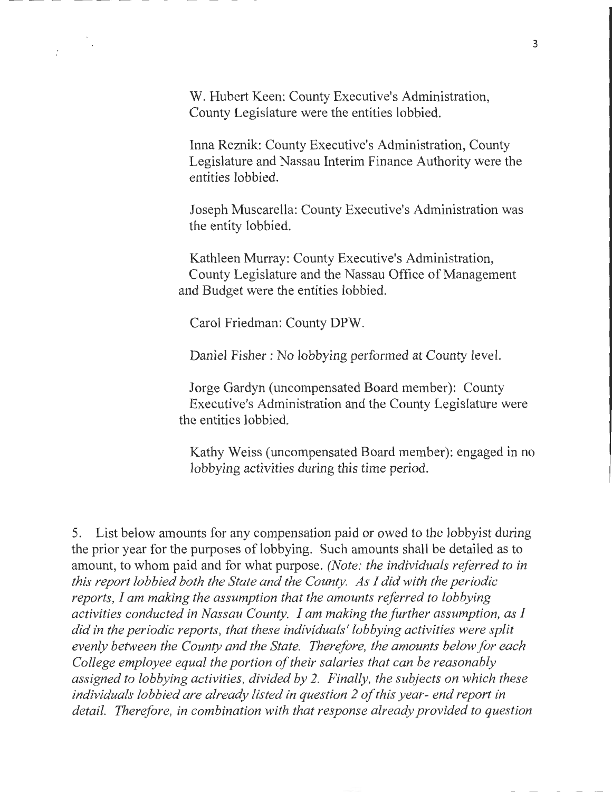W. Hubert Keen: County Executive's Administration, County Legislature were the entities lobbied.

Inna Reznik: County Executive's Administration, County Legislature and Nassau Interim Finance Authority were the entities lobbied.

Joseph Muscarella: County Executive's Administration was the entity lobbied.

Kathleen Murray: County Executive's Administration, County Legislature and the Nassau Office of Management and Budget were the entities lobbied.

Carol Friedman: County DPW.

Daniel Fisher : No lobbying performed at County level.

Jorge Gardyn (uncompensated Board member): County Executive's Administration and the County Legislature were the entities lobbied.

Kathy Weiss (uncompensated Board member): engaged in no lobbying activities during this time period.

5. List below amounts for any compensation paid or owed to the lobbyist during the prior year for the purposes of lobbying. Such amounts shall be detailed as to amount, to whom paid and for what purpose. *(Note: the individuals referred to in this report lobbied both the State and the County. As I did with the periodic reports, I am making the assumption that the amounts referred to lobbying activities conducted in Nassau County. I am making the further assumption, as I did in the periodic reports, that these individuals' lobbying activities were split evenly between the County and the State. Therefore, the amounts below for each College employee equal the portion of their salaries that can be reasonably assigned to lobbying activities, divided by 2. Finally, the subjects on which these individuals lobbied are already listed in question 2 of this year- end report in detail. Therefore, in combination with that response already provided to question*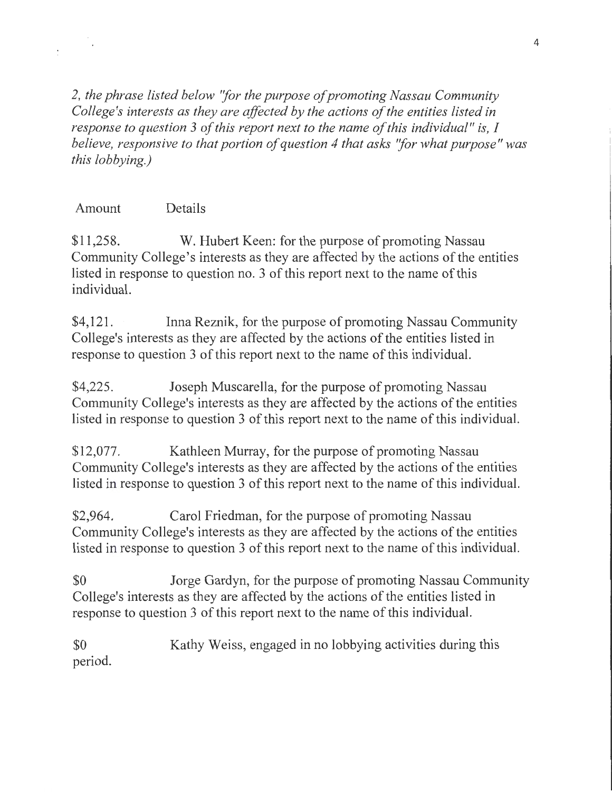*2, the phrase listed below ''for the purpose of promoting Nassau Community College's interests as they are affected by the actions of the entities listed in response to question 3 of this report next to the name of this individual" is, I believe, responsive to that portion of question 4 that asks ''for what purpose" was this lobbying.)* 

# Amount Details

\$11,258. W. Hubert Keen: for the purpose of promoting Nassau Community College's interests as they are affected by the actions of the entities listed in response to question no. 3 of this report next to the name of this individual.

\$4,121. Inna Reznik, for the purpose of promoting Nassau Community College's interests as they are affected by the actions of the entities listed in response to question 3 of this report next to the name of this individual.

\$4,225. Joseph Muscarella, for the purpose of promoting Nassau Community College's interests as they are affected by the actions of the entities listed in response to question 3 of this report next to the name of this individual.

\$12,077. Kathleen Murray, for the purpose of promoting Nassau Community College's interests as they are affected by the actions of the entities listed in response to question 3 of this report next to the name of this individual.

\$2,964. Carol Friedman, for the purpose of promoting Nassau Community College's interests as they are affected by the actions of the entities listed in response to question 3 of this report next to the name of this individual.

\$0 Jorge Gardyn, for the purpose of promoting Nassau Community College's interests as they are affected by the actions of the entities listed in response to question 3 of this report next to the name of this individual.

\$0 period. Kathy Weiss, engaged in no lobbying activities during this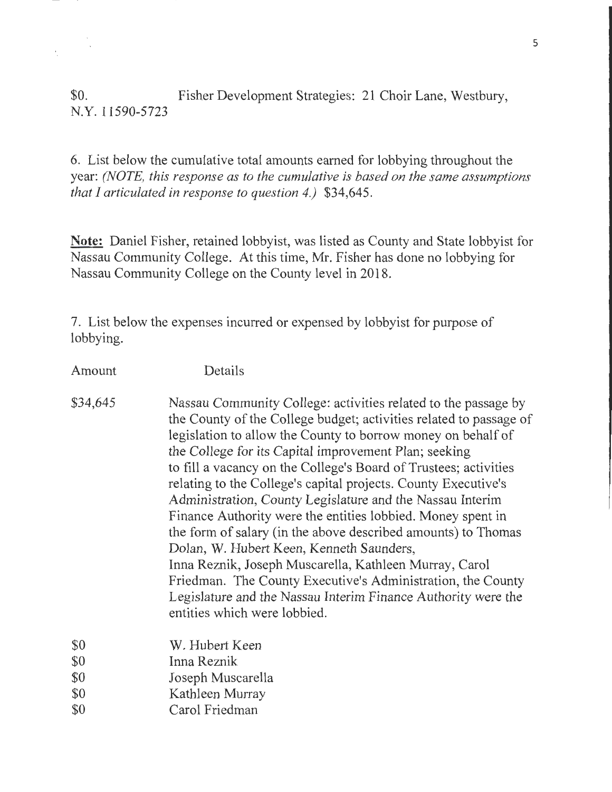\$0. Fisher Development Strategies: 21 Choir Lane, Westbury, N.Y. 11590-5723

 $\bar{\chi}$ 

 $\bar{\phantom{a}}$ 

6. List below the cumulative total amounts earned for lobbying throughout the year: *(NOTE, this response as to the cumulative is based on the same assumptions that I articulated in response to question 4.)* \$34,645.

**Note:** Daniel Fisher, retained lobbyist, was listed as County and State lobbyist for Nassau Community College. At this time, Mr. Fisher has done no lobbying for Nassau Community College on the County level in 2018.

7. List below the expenses incurred or expensed by lobbyist for purpose of lobbying.

| Amount   | Details                                                                                                                                                                                                                                                                                                                                                                                                                                                                                                                                                                                                                                                                                                                                                                                                                                                                |
|----------|------------------------------------------------------------------------------------------------------------------------------------------------------------------------------------------------------------------------------------------------------------------------------------------------------------------------------------------------------------------------------------------------------------------------------------------------------------------------------------------------------------------------------------------------------------------------------------------------------------------------------------------------------------------------------------------------------------------------------------------------------------------------------------------------------------------------------------------------------------------------|
| \$34,645 | Nassau Community College: activities related to the passage by<br>the County of the College budget; activities related to passage of<br>legislation to allow the County to borrow money on behalf of<br>the College for its Capital improvement Plan; seeking<br>to fill a vacancy on the College's Board of Trustees; activities<br>relating to the College's capital projects. County Executive's<br>Administration, County Legislature and the Nassau Interim<br>Finance Authority were the entities lobbied. Money spent in<br>the form of salary (in the above described amounts) to Thomas<br>Dolan, W. Hubert Keen, Kenneth Saunders,<br>Inna Reznik, Joseph Muscarella, Kathleen Murray, Carol<br>Friedman. The County Executive's Administration, the County<br>Legislature and the Nassau Interim Finance Authority were the<br>entities which were lobbied. |
| \$0      | W. Hubert Keen                                                                                                                                                                                                                                                                                                                                                                                                                                                                                                                                                                                                                                                                                                                                                                                                                                                         |
| \$0      | Inna Reznik                                                                                                                                                                                                                                                                                                                                                                                                                                                                                                                                                                                                                                                                                                                                                                                                                                                            |
| \$0      | Joseph Muscarella                                                                                                                                                                                                                                                                                                                                                                                                                                                                                                                                                                                                                                                                                                                                                                                                                                                      |
| \$0      | Kathleen Murray                                                                                                                                                                                                                                                                                                                                                                                                                                                                                                                                                                                                                                                                                                                                                                                                                                                        |
| \$0      | Carol Friedman                                                                                                                                                                                                                                                                                                                                                                                                                                                                                                                                                                                                                                                                                                                                                                                                                                                         |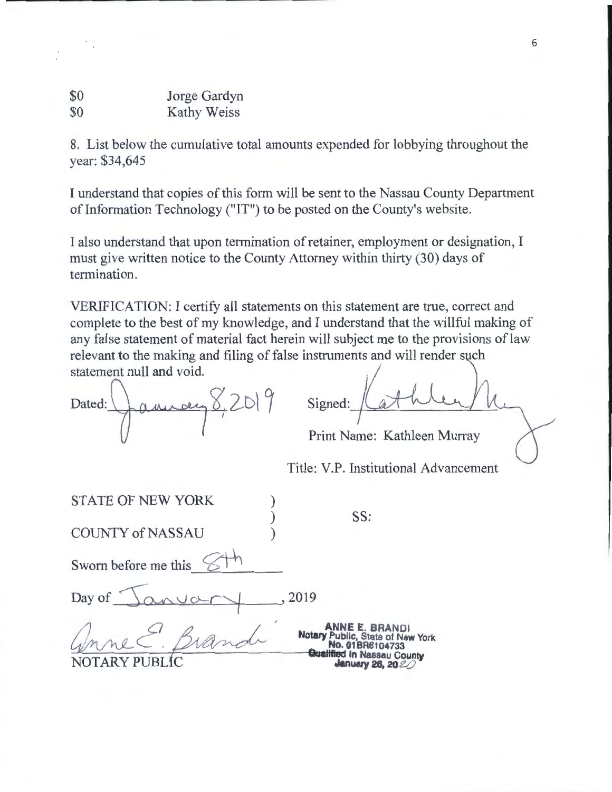| \$0 | Jorge Gardyn |
|-----|--------------|
| \$0 | Kathy Weiss  |

8. List below the cumulative total amounts expended for lobbying throughout the year: \$34,645

I understand that copies of this form will be sent to the Nassau County Department of Information Technology ("IT") to be posted on the County's website.

I also understand that upon termination of retainer, employment or designation, I must give written notice to the County Attorney within thirty (30) days of termination.

VERIFICATION: I certify all statements on this statement are true, correct and complete to the best of my knowledge, and I understand that the willful making of any false statement of material fact herein will subject me to the provisions of law relevant to the making and filing of false instruments and will render such statement null and void.

January 8,2019 Dated:

| Signed: |  |
|---------|--|
|---------|--|

Print Name: Kathleen Murray

Title: V.P. Institutional Advancement

| <b>STATE OF NEW YORK</b> |                                                                                                                                         |
|--------------------------|-----------------------------------------------------------------------------------------------------------------------------------------|
| <b>COUNTY of NASSAU</b>  | SS:                                                                                                                                     |
| Sworn before me this     |                                                                                                                                         |
| Day of                   | 2019                                                                                                                                    |
|                          | <b>ANNE E. BRANDI</b><br>Notary Public, State of New York<br>No. 01BR6104733<br><b>Qualified in Nassau County</b><br>January 26, $20\%$ |

6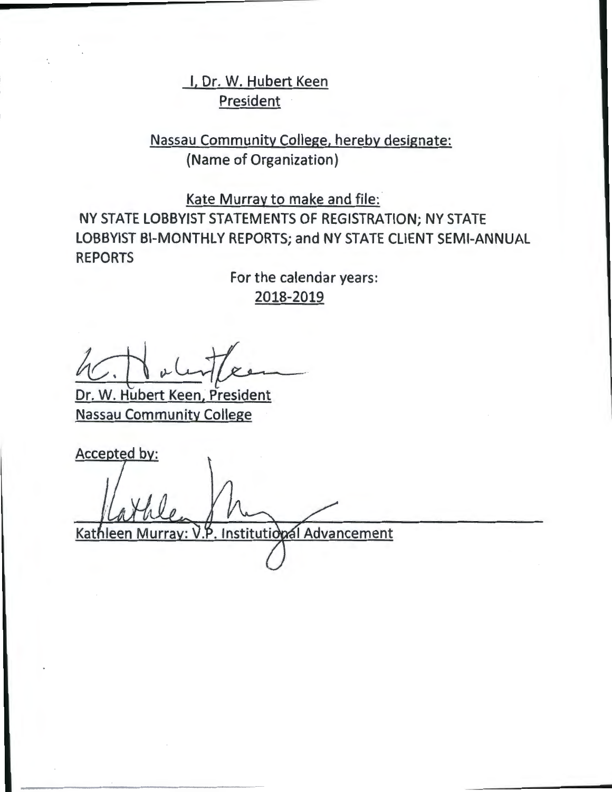# I, Dr. W. Hubert Keen **President**

Nassau Community College, hereby designate: {Name of Organization)

Kate Murray to make and file:

NY STATE LOBBYIST STATEMENTS OF REGISTRATION; NY STATE LOBBYIST BI-MONTHLY REPORTS; and NY STATE CLIENT SEMI-ANNUAL REPORTS

> For the calendar years: 2018-2019

 $V$ .  $V$ 

Dr. W. Hubert Keen; President Nassau Community College

Accepted by: Kathleen Murray: V.P. Institutional Advancement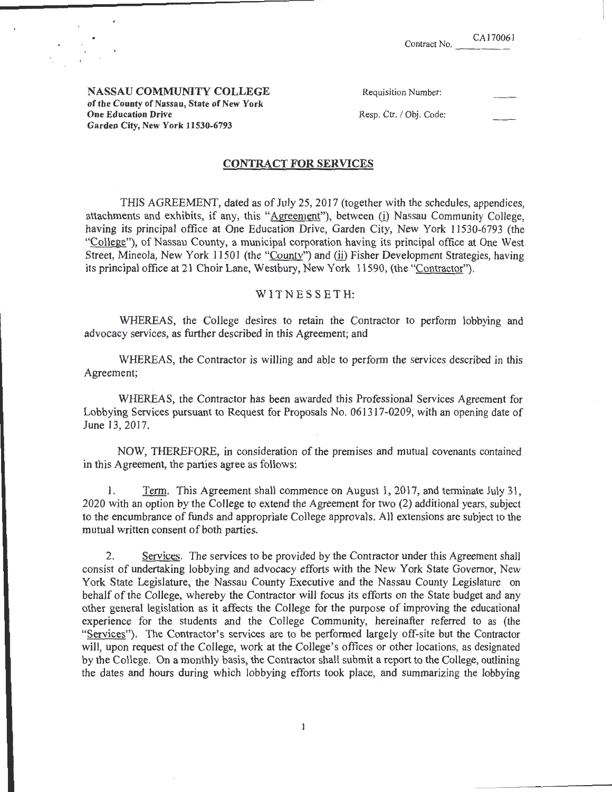NASSAU COMMUNITY COLLEGE of the County of Nassau, State of New York One Education Drive Garden City, New York 11530-6793

| Requisition Number: |  |
|---------------------|--|
|---------------------|--|

Resp. Ctr. / Obj. Code:

## CONTRACT **FOR** SERVICES

THIS AGREEMENT, dated as of July 25, 2017 (together with the schedules, appendices, attachments and exhibits, if any, this "Agreement"), between (i) Nassau Community College, having its principal office at One Education Drive, Garden City, New York 11530-6793 (the "College"), of Nassau County, a municipal corporation having its principal office at One West Street, Mineola, New York 11501 (the "County") and (ii) Fisher Development Strategies, having its principal office at 21 Choir Lane, Westbury, New York 11590, (the "Contractor").

### W IT N E S S E T H:

WHEREAS, the College desires to retain the Contractor to perform lobbying and advocacy services, as further described in this Agreement; and

WHEREAS, the Contractor is willing and able to perform the services described in this Agreement;

WHEREAS, the Contractor has been awarded this Professional Services Agreement for Lobbying Services pursuant to Request for Proposals No. 061317-0209, with an opening date of June 13, 2017.

NOW, THEREFORE, in consideration of the premises and mutual covenants contained in this Agreement, the parties agree as follows:

1. Term. This Agreement shall commence on August 1, 2017, and terminate July 31, 2020 with an option by the College to extend the Agreement for two (2) additional years, subject to the encumbrance of funds and appropriate College approvals. All extensions are subject to the mutual written consent of both parties.

2. Services. The services to be provided by the Contractor under this Agreement shall consist of undertaking lobbying and advocacy efforts with the New York State Governor, New York State Legislature, the Nassau County Executive and the Nassau County Legislature on behalf of the College, whereby the Contractor will focus its efforts on the State budget and any other general legislation as it affects the College for the purpose of improving the educational experience for the students and the College Community, hereinafter referred to as (the "Services"). The Contractor's services are to be performed largely off-site but the Contractor will, upon request of the College, work at the College's offices or other locations, as designated by the College. On a monthly basis, the Contractor shall submit a report to the College, outlining the dates and hours during which lobbying efforts took place, and summarizing the lobbying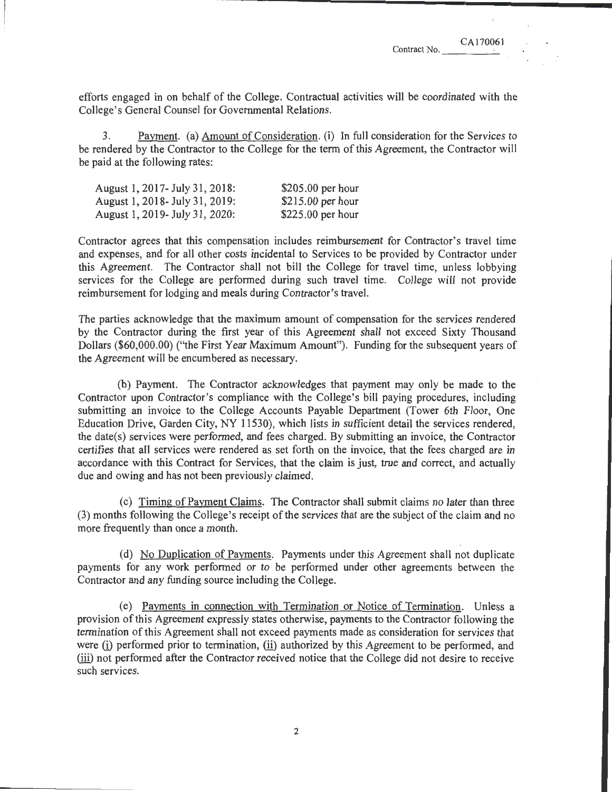efforts engaged in on behalf of the College. Contractual activities will be coordinated with the College's General Counsel for Governmental Relations.

3. Payment. (a) Amount of Consideration. (i) In full consideration for the Services to be rendered by the Contractor to the College for the term of this Agreement, the Contractor will be paid at the following rates:

| August 1, 2017 - July 31, 2018: | $$205.00$ per hour |
|---------------------------------|--------------------|
| August 1, 2018 - July 31, 2019: | $$215.00$ per hour |
| August 1, 2019 July 31, 2020:   | $$225.00$ per hour |

Contractor agrees that this compensation includes reimbursement for Contractor's travel time and expenses, and for all other costs incidental to Services to be provided by Contractor under this Agreement. The Contractor shall not bill the College for travel time, unless lobbying services for the College are performed during such travel time. College will not provide reimbursement for lodging and meals during Contractor's travel.

The parties acknowledge that the maximum amount of compensation for the services rendered by the Contractor during the first year of this Agreement shall not exceed Sixty Thousand Dollars (\$60,000.00) (''the First Year Maximum Amount"). Funding for the subsequent years of the Agreement will be encumbered as necessary.

(b) Payment. The Contractor acknowledges that payment may only be made to the Contractor upon Contractor's compliance with the College's bill paying procedures, including submitting an invoice to the College Accounts Payable Department (Tower 6th Floor, One Education Drive, Garden City, NY 11530), which lists in sufficient detail the services rendered, the date(s) services were performed, and fees charged. By submitting an invoice, the Contractor certifies that all services were rendered as set forth on the invoice, that the fees charged are in accordance with this Contract for Services, that the claim is just, true and correct, and actually due and owing and has not been previously claimed.

(c) Timing of Payment Claims. The Contractor shall submit claims no later than three (3) months following the College's receipt of the services that are the subject of the claim and no more frequently than once a month.

(d) No Duplication of Payments. Payments under this Agreement shall not duplicate payments for any work performed or to be performed under other agreements between the Contractor and any funding source including the College.

(e) Payments in connection with Termination or Notice of Termination. Unless a provision of this Agreement expressly states otherwise, payments to the Contractor following the termination of this Agreement shall not exceed payments made as consideration for services that were (i) performed prior to termination, (ii) authorized by this Agreement to be performed, and (ill) not performed after the Contractor received notice that the College did not desire to receive such services.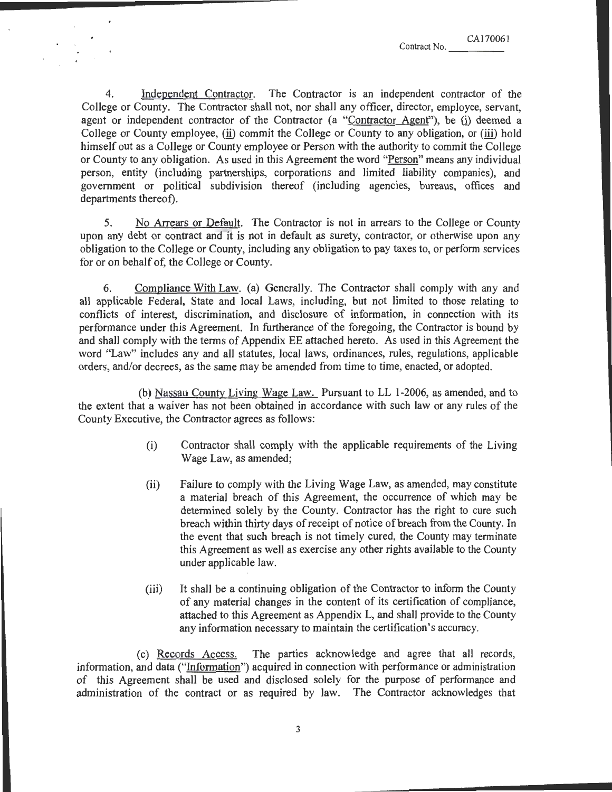4. Independent Contractor. The Contractor is an independent contractor of the College or County. The Contractor shall not, nor shall any officer, director, employee, servant, agent or independent contractor of the Contractor (a "Contractor Agent"), be (i) deemed a College or County employee, (ii) commit the College or County to any obligation, or (iii) hold himself out as a College or County employee or Person with the authority to commit the College or County to any obligation. As used in this Agreement the word "Person" means any individual person, entity (including partnerships, corporations and limited liability companies), and government or political subdivision thereof (including agencies, bureaus, offices and departments thereof).

5. No Arrears or Default. The Contractor is not in arrears to the College or County upon any debt or contract and it is not in default as surety, contractor, or otherwise upon any obligation to the College or County, including any obligation to pay taxes to, or perform services for or on behalf of, the College or County.

6. Compliance With Law. (a) Generally. The Contractor shall comply with any and all applicable Federal, State and local Laws, including, but not limited to those relating to conflicts of interest, discrimination, and disclosure of information, in connection with its performance under this Agreement. In furtherance of the foregoing, the Contractor is bound by and shall comply with the terms of Appendix EE attached hereto. As used in this Agreement the word "Law" includes any and all statutes, local laws, ordinances, rules, regulations, applicable orders, and/or decrees, as the same may be amended from time to time, enacted, or adopted.

(b) Nassau County Living Wage Law. Pursuant toLL 1-2006, as amended, and to the extent that a waiver has not been obtained in accordance with such law or any rules of the County Executive, the Contractor agrees as follows:

- (i) Contractor shall comply with the applicable requirements of the Living Wage Law, as amended;
- (ii) Failure to comply with the Living Wage Law, as amended, may constitute a material breach of this Agreement, the occurrence of which may be determined solely by the County. Contractor has the right to cure such breach within thirty days of receipt of notice of breach from the County. In the event that such breach is not timely cured, the County may terminate this Agreement as well as exercise any other rights available to the County under applicable law.
- (iii) It shall be a continuing obligation of the Contractor to inform the County of any material changes in the content of its certification of compliance, attached to this Agreement as Appendix L, and shall provide to the County any information necessary to maintain the certification's accuracy.

(c) Records Access. The parties acknowledge and agree that all records, information, and data ("Information") acquired in connection with performance or administration of this Agreement shall be used and disclosed solely for the purpose of performance and administration of the contract or as required by law. The Contractor acknowledges that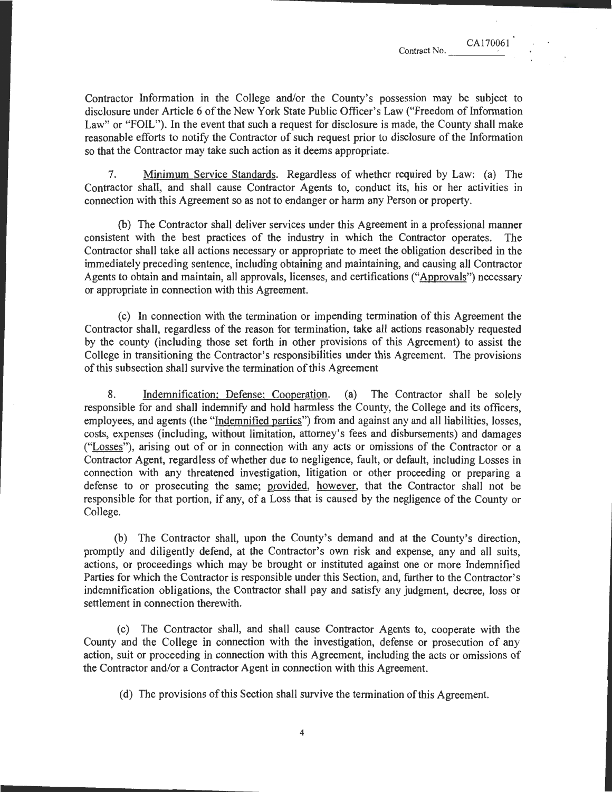CA170061

Contractor Information in the College and/or the County's possession may be subject to disclosure under Article 6 of the New York State Public Officer's Law ("Freedom of Information Law" or "FOIL"). In the event that such a request for disclosure is made, the County shall make reasonable efforts to notify the Contractor of such request prior to disclosure of the Information so that the Contractor may take such action as it deems appropriate.

7. Minimum Service Standards. Regardless of whether required by Law: (a) The Contractor shall, and shall cause Contractor Agents to, conduct its, his or her activities in connection with this Agreement so as not to endanger or harm any Person or property.

(b) The Contractor shall deliver services under this Agreement in a professional manner consistent with the best practices of the industry in which the Contractor operates. The Contractor shall take all actions necessary or appropriate to meet the obligation described in the immediately preceding sentence, including obtaining and maintaining, and causing all Contractor Agents to obtain and maintain, all approvals, licenses, and certifications ("Approvals") necessary or appropriate in connection with this Agreement.

(c) In connection with the termination or impending termination of this Agreement the Contractor shall, regardless of the reason for termination, take all actions reasonably requested by the county (including those set forth in other provisions of this Agreement) to assist the College in transitioning the Contractor's responsibilities under this Agreement. The provisions of this subsection shall survive the termination of this Agreement

8. Indemnification; Defense; Cooperation. (a) The Contractor shall be solely responsible for and shall indemnify and hold harmless the County, the College and its officers, employees, and agents (the "Indemnified parties") from and against any and all liabilities, losses, costs, expenses (including, without limitation, attorney's fees and disbursements) and damages ("Losses"), arising out of or in connection with any acts or omissions of the Contractor or a Contractor Agent, regardless of whether due to negligence, fault, or default, including Losses in connection with any threatened investigation, litigation or other proceeding or preparing a defense to or prosecuting the same; provided, however, that the Contractor shall not be responsible for that portion, if any, of a Loss that is caused by the negligence of the County or College.

(b) The Contractor shall, upon the County's demand and at the County's direction, promptly and diligently defend, at the Contractor's own risk and expense, any and all suits, actions, or proceedings which may be brought or instituted against one or more Indemnified Parties for which the Contractor is responsible under this Section, and, further to the Contractor's indemnification obligations, the Contractor shall pay and satisfy any judgment, decree, loss or settlement in connection therewith.

(c) The Contractor shall, and shall cause Contractor Agents to, cooperate with the County and the College in connection with the investigation, defense or prosecution of any action, suit or proceeding in connection with this Agreement, including the acts or omissions of the Contractor and/or a Contractor Agent in connection with this Agreement.

(d) The provisions of this Section shall survive the termination of this Agreement.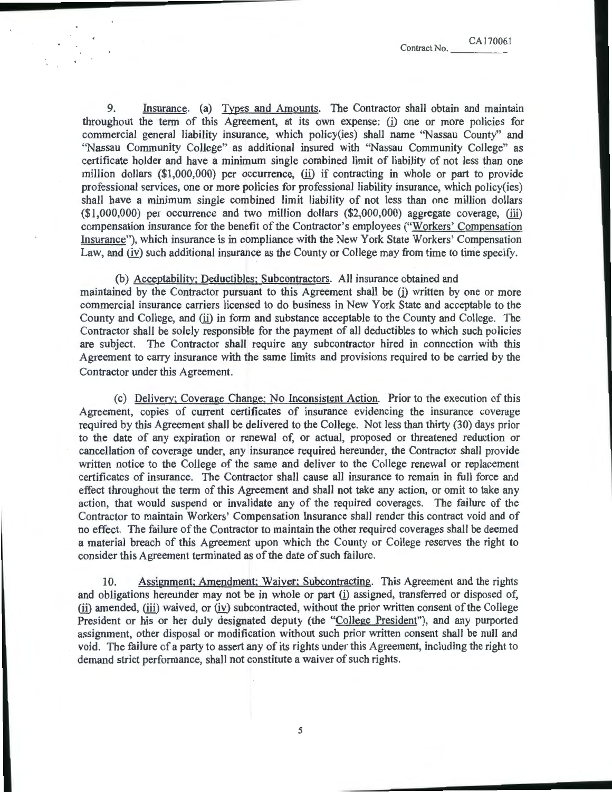9. Insurance. (a) Types and Amounts. The Contractor shall obtain and maintain throughout the term of this Agreement, at its own expense: (i) one or more policies for commercial general liability insurance, which policy(ies) shall name "Nassau County" and "Nassau Community College" as additional insured with "Nassau Community College" as certificate holder and have a minimum single combined limit of liability of not less than one million dollars  $(\text{$}1,000,000)$  per occurrence, (ii) if contracting in whole or part to provide professional services, one or more policies for professional liability insurance, which policy(ies) shall have a minimum single combined limit liability of not less than one million dollars  $(1,000,000)$  per occurrence and two million dollars  $(2,000,000)$  aggregate coverage, (iii) compensation insurance for the benefit of the Contractor's employees ("Workers' Compensation Insurance"), which insurance is in compliance with the New York State Workers' Compensation Law, and (iv) such additional insurance as the County or College may from time to time specify.

(b) Acceptability; Deductibles; Subcontractors. All insurance obtained and maintained by the Contractor pursuant to this Agreement shall be (i) written by one or more commercial insurance carriers licensed to do business in New York State and acceptable to the County and College, and (ii) in form and substance acceptable to the County and College. The Contractor shall be solely responsible for the payment of all deductibles to which such policies are subject. The Contractor shall require any subcontractor hired in connection with this Agreement to carry insurance with the same limits and provisions required to be carried by the Contractor under this Agreement.

(c) Delivery; Coverage Change: No Inconsistent Action. Prior to the execution of this Agreement, copies of current certificates of insurance evidencing the insurance coverage required by this Agreement shall be delivered to the College. Not less than thirty (30) days prior to the date of any expiration or renewal of, or actual, proposed or threatened reduction or cancellation of coverage under, any insurance required hereunder, the Contractor shall provide written notice to the College of the same and deliver to the College renewal or replacement certificates of insurance. The Contractor shall cause all insurance to remain in full force and effect throughout the term of this Agreement and shall not take any action, or omit to take any action, that would suspend or invalidate any of the required coverages. The failure of the Contractor to maintain Workers' Compensation Insurance shall render this contract void and of no effect. The failure of the Contractor to maintain the other required coverages shall be deemed a material breach of this Agreement upon which the County or College reserves the right to consider this Agreement terminated as of the date of such failure.

10. Assignment; Amendment; Waiver; Subcontracting. This Agreement and the rights and obligations hereunder may not be in whole or part (i) assigned, transferred or disposed of, (ii) amended, (iii) waived, or (iv) subcontracted, without the prior written consent of the College President or his or her duly designated deputy (the "College President"), and any purported assignment, other disposal or modification without such prior written consent shall be null and void. The failure of a party to assert any of its rights under this Agreement, including the right to demand strict performance, shall not constitute a waiver of such rights.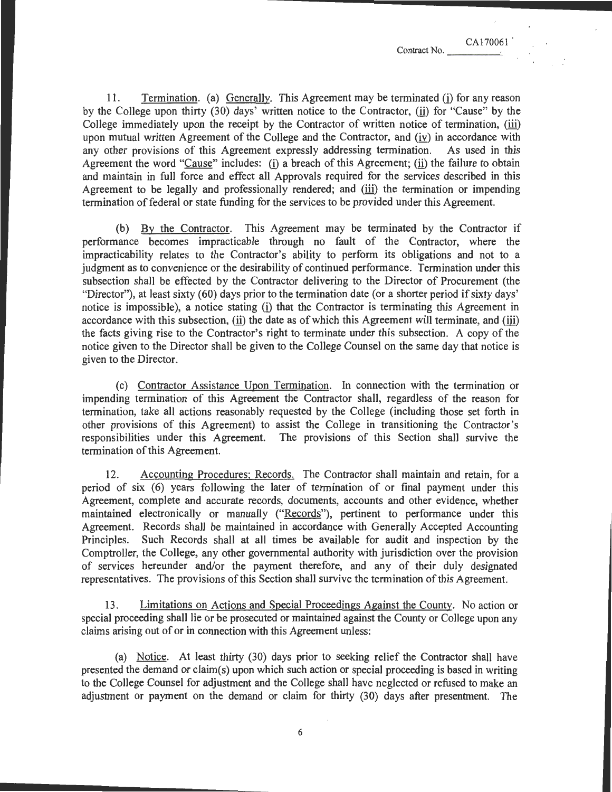11. Termination. (a) Generally. This Agreement may be terminated (i) for any reason by the College upon thirty (30) days' written notice to the Contractor,  $(i)$  for "Cause" by the College immediately upon the receipt by the Contractor of written notice of termination, (iii) upon mutual written Agreement of the College and the Contractor, and  $(iv)$  in accordance with any other provisions of this Agreement expressly addressing termination. As used in this Agreement the word "Cause" includes: (i) a breach of this Agreement; (ii) the failure to obtain and maintain in full force and effect all Approvals required for the services described in this Agreement to be legally and professionally rendered; and (iii) the termination or impending termination of federal or state funding for the services to be provided under this Agreement.

(b) By the Contractor. This Agreement may be terminated by the Contractor if performance becomes impracticable through no fault of the Contractor, where the impracticability relates to the Contractor's ability to perform its obligations and not to a judgment as to convenience or the desirability of continued performance. Termination under this subsection shall be effected by the Contractor delivering to the Director of Procurement (the "Director"), at least sixty (60) days prior to the termination date (or a shorter period if sixty days' notice is impossible), a notice stating (i) that the Contractor is terminating this Agreement in accordance with this subsection, (ii) the date as of which this Agreement will terminate, and (iii) the facts giving rise to the Contractor's right to terminate under this subsection. A copy of the notice given to the Director shall be given to the College Counsel on the same day that notice is given to the Director.

(c) Contractor Assistance Upon Termination. In connection with the termination or impending termination of this Agreement the Contractor shall, regardless of the reason for termination, take all actions reasonably requested by the College (including those set forth in other provisions of this Agreement) to assist the College in transitioning the Contractor's responsibilities under this Agreement. The provisions of this Section shall survive the termination of this Agreement.

12. Accounting Procedures; Records. The Contractor shall maintain and retain, for a period of six (6) years following the later of termination of or final payment under this Agreement, complete and accurate records, documents, accounts and other evidence, whether maintained electronically or manually ("Records"), pertinent to performance under this Agreement. Records shall be maintained in accordance with Generally Accepted Accounting Principles. Such Records shall at all times be available for audit and inspection by the Comptroller, the College, any other governmental authority with jurisdiction over the provision of services hereunder and/or the payment therefore, and any of their duly designated representatives. The provisions of this Section shall survive the termination of this Agreement.

13. Limitations on Actions and Special Proceedings Against the County. No action or special proceeding shall lie or be prosecuted or maintained against the County or College upon any claims arising out of or in connection with this Agreement unless:

(a) Notice. At least thirty (30) days prior to seeking relief the Contractor shall have presented the demand or claim(s) upon which such action or special proceeding is based in writing to the College Counsel for adjustment and the College shall have neglected or refused to make an adjustment or payment on the demand or claim for thirty (30) days after presentment. The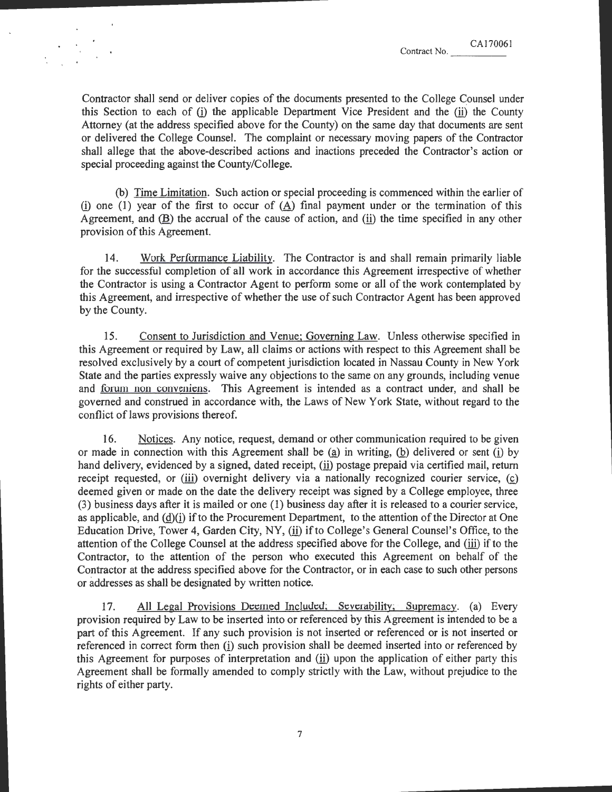CA170061

Contractor shall send or deliver copies of the documents presented to the College Counsel under this Section to each of (i) the applicable Department Vice President and the (ii) the County Attorney (at the address specified above for the County) on the same day that documents are sent or delivered the College Counsel. The complaint or necessary moving papers of the Contractor shall allege that the above-described actions and inactions preceded the Contractor's action or special proceeding against the County/College.

(b) Time Limitation. Such action or special proceeding is commenced within the earlier of (i) one (1) year of the first to occur of  $(A)$  final payment under or the termination of this Agreement, and  $(B)$  the accrual of the cause of action, and (ii) the time specified in any other provision of this Agreement.

14. Work Performance Liability. The Contractor is and shall remain primarily liable for the successful completion of all work in accordance this Agreement irrespective of whether the Contractor is using a Contractor Agent to perform some or all of the work contemplated by this Agreement, and irrespective of whether the use of such Contractor Agent has been approved by the County.

15. Consent to Jurisdiction and Venue; Governing Law. Unless otherwise specified in this Agreement or required by Law, all claims or actions with respect to this Agreement shall be resolved exclusively by a court of competent jurisdiction located in Nassau County in New York State and the parties expressly waive any objections to the same on any grounds, including venue and forum non conveniens. This Agreement is intended as a contract under, and shall be governed and construed in accordance with, the Laws of New York State, without regard to the conflict of laws provisions thereof.

16. Notices. Any notice, request, demand or other communication required to be given or made in connection with this Agreement shall be  $(a)$  in writing,  $(b)$  delivered or sent (i) by hand delivery, evidenced by a signed, dated receipt, (ii) postage prepaid via certified mail, return receipt requested, or (iii) overnight delivery via a nationally recognized courier service, (c) deemed given or made on the date the delivery receipt was signed by a College employee, three (3) business days after it is mailed or one (1) business day after it is released to a courier service, as applicable, and  $(d)(i)$  if to the Procurement Department, to the attention of the Director at One Education Drive, Tower 4, Garden City, NY, (ii) if to College's General Counsel's Office, to the attention of the College Counsel at the address specified above for the College, and (iii) if to the Contractor, to the attention of the person who executed this Agreement on behalf of the Contractor at the address specified above for the Contractor, or in each case to such other persons or addresses as shall be designated by written notice.

17. All Legal Provisions Deemed Included; Severability; Supremacy. (a) Every provision required by Law to be inserted into or referenced by this Agreement is intended to be a part of this Agreement. If any such provision is not inserted or referenced or is not inserted or referenced in correct form then (i) such provision shall be deemed inserted into or referenced by this Agreement for purposes of interpretation and  $(i)$  upon the application of either party this Agreement shall be formally amended to comply strictly with the Law, without prejudice to the rights of either party.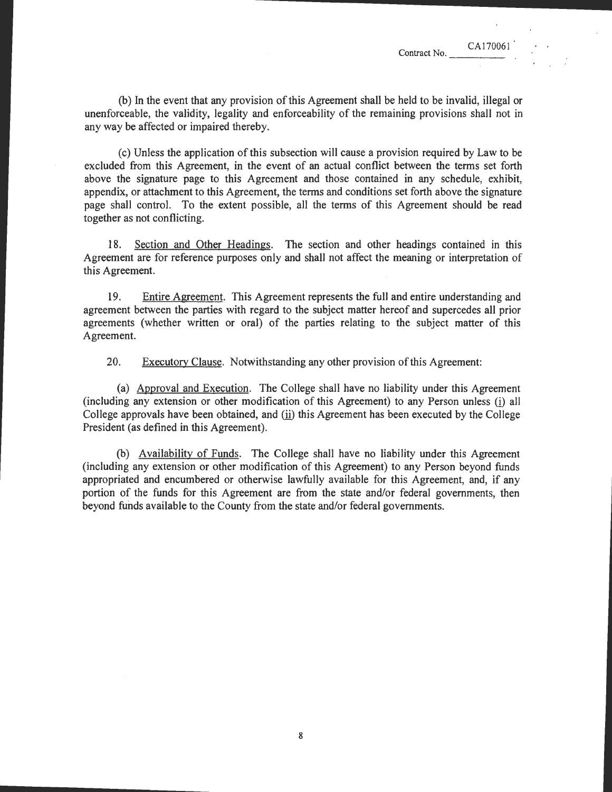(b) In the event that any provision of this Agreement shall be held to be invalid, illegal or unenforceable, the validity, legality and enforceability of the remaining provisions shall not in any way be affected or impaired thereby.

(c) Unless the application of this subsection will cause a provision required by Law to be excluded from this Agreement, in the event of an actual conflict between the terms set forth above the signature page to this Agreement and those contained in any schedule, exhibit, appendix, or attachment to this Agreement, the terms and conditions set forth above the signature page shall control. To the extent possible, all the terms of this Agreement should be read together as not conflicting.

18. Section and Other Headings. The section and other headings contained in this Agreement are for reference purposes only and shall not affect the meaning or interpretation of this Agreement.

19. Entire Agreement. This Agreement represents the full and entire understanding and agreement between the parties with regard to the subject matter hereof and supercedes all prior agreements (whether written or oral) of the parties relating to the subject matter of this Agreement.

20. Executorv Clause. Notwithstanding any other provision of this Agreement:

(a) Approval and Execution. The College shall have no liability under this Agreement (including any extension or other modification of this Agreement) to any Person unless (i) all College approvals have been obtained, and (ii) this Agreement has been executed by the College President (as defined in this Agreement).

(b) Availability of Funds. The College shall have no liability under this Agreement (including any extension or other modification of this Agreement) to any Person beyond funds appropriated and encumbered or otherwise lawfully available for this Agreement, and, if any portion of the funds for this Agreement are from the state and/or federal governments, then beyond funds available to the County from the state and/or federal governments.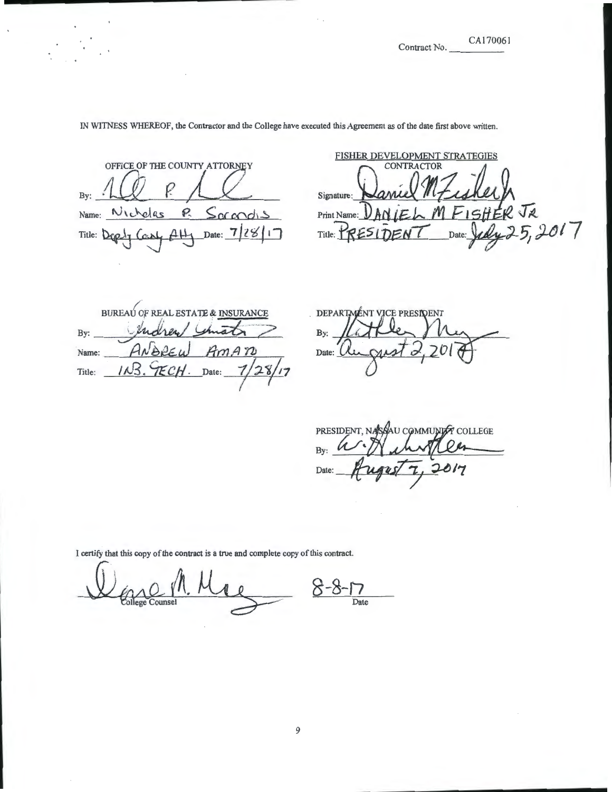Contract No.

#### CAI70061

OFFICE OF THE COUNTY ATTORNEY By: Name: **r,)** \ L-~ £ts **P--** ~ \$; ac cOdi <sup>~</sup> *.1i]z*   $\left| \cdot \right|$ Title:  $Der\{A\}$  Cash  $AH_1$  Date:  $7/28/17$ 

IN WITNESS WHEREOF, the Contractor and the College have executed this Agreement as of the date first above written.

FISHER DEVELOPMENT STRATEGIES Signature:  $P$ rint Name:  $\frac{D \text{AN}}{E}$   $\frac{E}{D}$   $\frac{M F}{S}$   $\frac{E}{E}$   $\frac{M G}{2}$  5, 2017

BUREAU OF REAL ESTATE & INSURANCE  $1<sub>th</sub>$ endres By: Name:  $\Delta$ Date:  $28/17$  $113$ TE CH Title:

DEPARTMENT VICE PRESIDENT By: Date: UL

PRESIDENT, NASSAU COMMUNIST COLLEGE Bv: Date: 7

I certify that this copy of the contract is a true and complete copy of this contract.

Dence Counsel A. Mac 8-8-17 ollege Counsel **Date**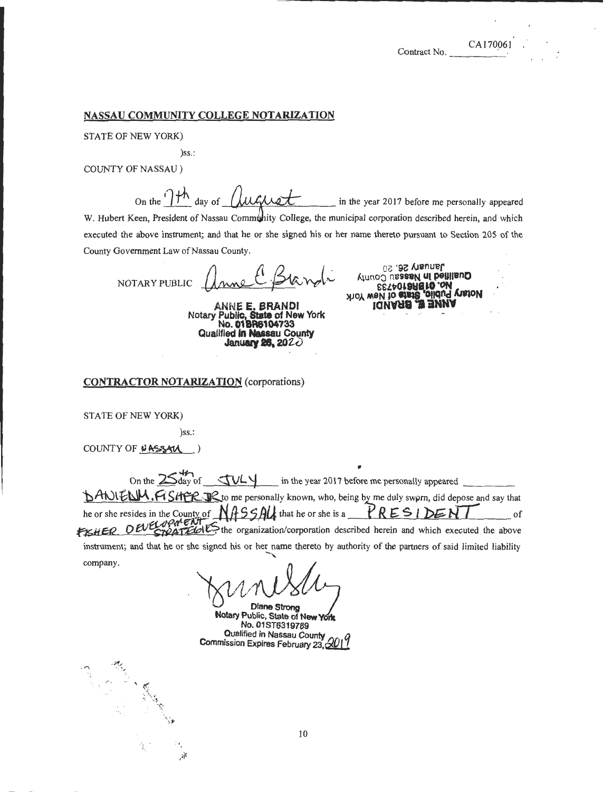### NASSAU COMMUNITY COLLEGE NOTARIZATION

STATE OF NEW YORK)

)ss.:

COUNTY OF NASSAU)

On the  $\int$ <sup>th</sup> day of  $\int$ u $\int$ u $\int$ u $\int$ in the year 2017 before me personally appeared

W. Hubert Keen, President of Nassau Community College, the municipal corporation described herein, and which executed the above instrument; and that he or she signed his or her name thereto pursuant to Section 205 of the County Government Law of Nassau County.

NOTARY PUBLIC

ANNE E. BRANDl Notary Public. State of New York No. 01**BR6104733**<br>Qualified **in Nassau County**<br>January 26, 2022

January 26, 20 Aluno:::> nsss&N Ul peunano **iQUARE <u>\*</u> # HUUA**<br>Yor welvio and and allow York<br>BSTAOT SHETO OUR

CONTRACTOR NOTARIZATION (corporations)

STATE OF NEW YORK)

)ss.:

*:.*  /f

COUNTY OF NASSAU )

company.

· '"I ·· ~~ .. ·.' *,r;·.* 

, On the 2\$d':;'of .;tYL '/ in the year 2017 before me personally appeared \_\_\_ \_ **BANIENM, FISHER JR** to me personally known, who, being by me duly swprn, did depose and say that he or she resides in the County of  $N/155/11$  that he or she is a  $\overline{PRES}$  |  $\overline{DEFN}$  of **f15HER OUCONTION** the organization/corporation described herein and which executed the above instrument; and that he or she signed his or her name thereto by authority of the partners of said limited liability -....

 $N_l$  $\bigcirc^\nu$  $\iota$ neskt

*Diane Strong* Notary Public, State of New York No.01ST6319789 ~~alified in Nassau County *0*  Commission Expires February 23,  $60$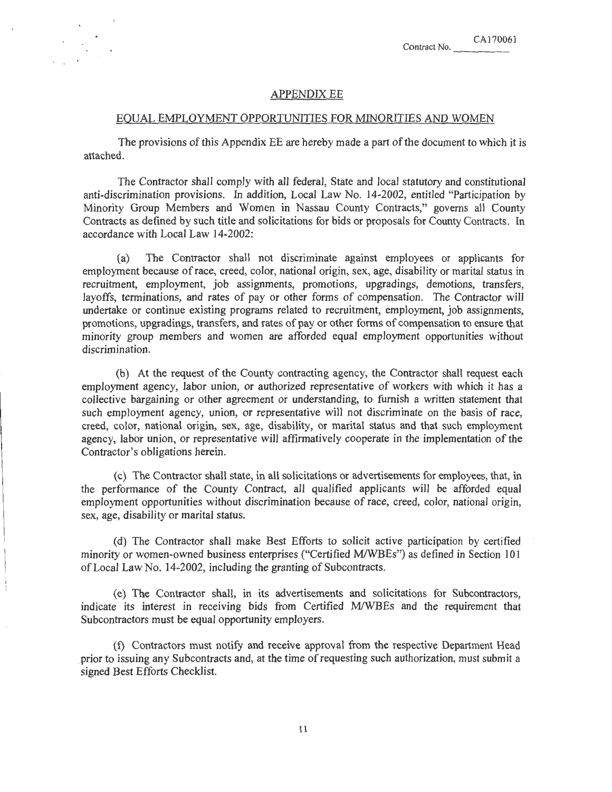### **APPENDIX EE**

#### EQUAL EMPLOYMENT OPPORTUNITIES FOR MINORITIES AND WOMEN

The provisions of this Appendix EE are hereby made a part of the document to which it is attached.

The Contractor shall comply with all federal, State and local statutory and constitutional anti-discrimination provisions. In addition, Local Law No. 14-2002, entitled "Participation by Minority Group Members and Women in Nassau County Contracts," governs all County Contracts as defined by such title and solicitations for bids or proposals for County Contracts. In accordance with Local Law 14-2002:

(a) The Contractor shall not discriminate against employees or applicants for employment because ofrace, creed, color, national origin, sex, age, disability or marital status in recruitment, employment, job assignments, promotions, upgradings, demotions, transfers, layoffs, terminations, and rates of pay or other forms of compensation. The Contractor will undertake or continue existing programs related to recruitment, employment, job assignments, promotions, upgradings, transfers, and rates of pay or other forms of compensation to ensure that minority group members and women are afforded equal employment opportunities without discrimination.

(b) At the request of the County contracting agency, the Contractor shall request each employment agency, labor union, or authorized representative of workers with which it has a collective bargaining or other agreement or understanding, to furnish a written statement that such employment agency, union, or representative will not discriminate on the basis of race, creed, color, national origin, sex, age, disability, or marital status and that such employment agency, labor union, or representative will affirmatively cooperate in the implementation of the Contractor's obligations herein.

(c) The Contractor shall state, in all solicitations or advertisements for employees, that, in the performance of the County Contract, all qualified applicants will be afforded equal employment opportunities without discrimination because of race, creed, color, national origin, sex, age, disability or marital status.

(d) The Contractor shall make Best Efforts to solicit active participation by certified minority or women-owned business enterprises ("Certified M/WBEs") as defined in Section 101 ofLocal Law No. 14-2002, including the granting of Subcontracts.

(e) The Contractor shall, in its advertisements and solicitations for Subcontractors, indicate its interest in receiving bids from Certified MIWBEs and the requirement that Subcontractors must be equal opportunity employers.

(f) Contractors must notify and receive approval from the respective Department Head prior to issuing any Subcontracts and, at the time of requesting such authorization, must submit a signed Best Efforts Checklist.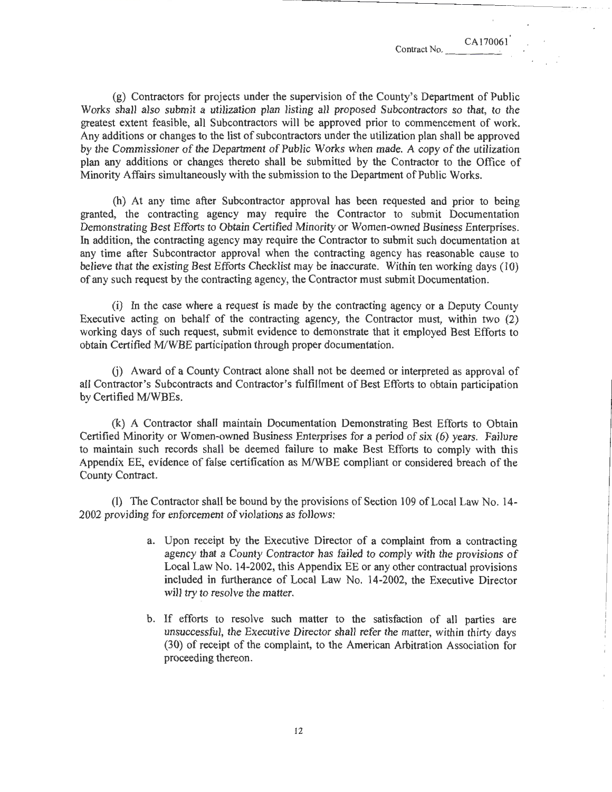(g) Contractors for projects under the supervision of the County's Department of Public Works shall also submit a utilization plan listing all proposed Subcontractors so that, to the greatest extent feasible, all Subcontractors will be approved prior to commencement of work. Any additions or changes to the list of subcontractors under the utilization plan shall be approved by the Commissioner of the Department of Public Works when made. A copy of the utilization plan any additions or changes thereto shall be submitted by the Contractor to the Office of Minority Affairs simultaneously with the submission to the Department of Public Works.

(h) At any time after Subcontractor approval has been requested and prior to being granted, the contracting agency may require the Contractor to submit Documentation Demonstrating Best Efforts to Obtain Certified Minority or Women-owned Business Enterprises. In addition, the contracting agency may require the Contractor to submit such documentation at any time after Subcontractor approval when the contracting agency has reasonable cause to believe that the existing Best Efforts Checklist may be inaccurate. Within ten working days (10) of any such request by the contracting agency, the Contractor must submit Documentation.

(i) In the case where a request is made by the contracting agency or a Deputy County Executive acting on behalf of the contracting agency, the Contractor must, within two (2) working days of such request, submit evidence to demonstrate that it employed Best Efforts to obtain Certified M/WBE participation through proper documentation.

G) Award of a County Contract alone shall not be deemed or interpreted as approval of all Contractor's Subcontracts and Contractor's fulfillment of Best Efforts to obtain participation by Certified M/WBEs.

(k) A Contractor shall maintain Documentation Demonstrating Best Efforts to Obtain Certified Minority or Women-owned Business Enterprises for a period of six (6) years. Failure to maintain such records shall be deemed failure to make Best Efforts to comply with this Appendix EE, evidence of false certification as MIWBE compliant or considered breach of the County Contract.

(1) The Contractor shall be bound by the provisions of Section 109 of Local Law No.  $14$ -2002 providing for enforcement of violations as follows:

- a. Upon receipt by the Executive Director of a complaint from a contracting agency that a County Contractor has failed to comply with the provisions of Local Law No. 14-2002, this Appendix EE or any other contractual provisions included in furtherance of Local Law No. 14-2002, the Executive Director will try to resolve the matter.
- b. If efforts to resolve such matter to the satisfaction of all parties are unsuccessful, the Executive Director shall refer the matter, within thirty days (30) of receipt of the complaint, to the American Arbitration Association for proceeding thereon.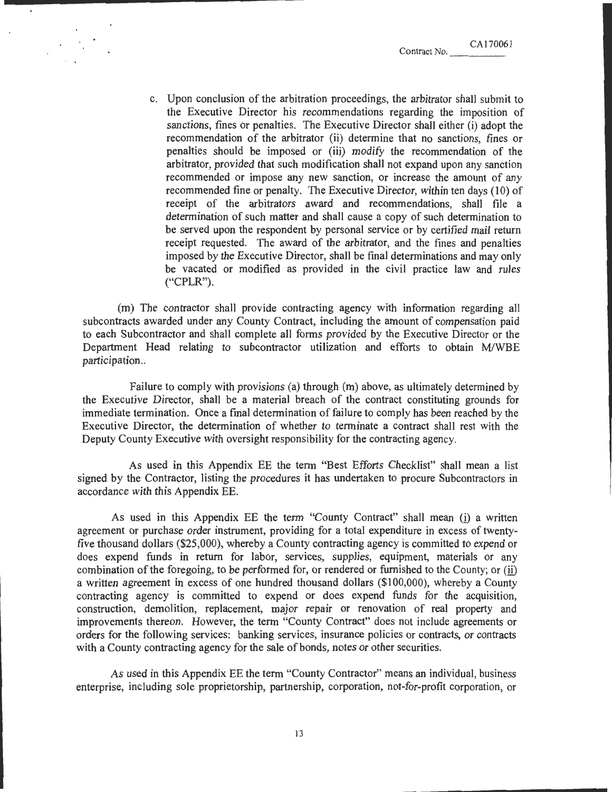c. Upon conclusion of the arbitration proceedings, the arbitrator shall submit to the Executive Director his recommendations regarding the imposition of sanctions, fines or penalties. The Executive Director shall either (i) adopt the recommendation of the arbitrator (ii) determine that no sanctions, fines or penalties should be imposed or (iii) modify the recommendation of the arbitrator, provided that such modification shall not expand upon any sanction recommended or impose any new sanction, or increase the amount of any recommended fine or penalty. The Executive Director, within ten days (10) of receipt of the arbitrators award and recommendations, shall file a determination of such matter and shall cause a copy of such determination to be served upon the respondent by personal service or by certified mail return receipt requested. The award of the arbitrator, and the fines and penalties imposed by the Executive Director, shall be final determinations and may only be vacated or modified as provided in the civil practice law and rules ("CPLR").

(m) The contractor shall provide contracting agency with information regarding all subcontracts awarded under any County Contract, including the amount of compensation paid to each Subcontractor and shall complete all forms provided by the Executive Director or the Department Head relating to subcontractor utilization and efforts to obtain M/WBE participation..

Failure to comply with provisions (a) through (m) above, as ultimately determined by the Executive Director, shall be a material breach of the contract constituting grounds for immediate termination. Once a final determination of failure to comply has been reached by the Executive Director, the determination of whether to terminate a contract shall rest with the Deputy County Executive with oversight responsibility for the contracting agency.

As used in this Appendix EE the term "Best Efforts Checklist" shall mean a list signed by the Contractor, listing the procedures it has undertaken to procure Subcontractors in accordance with this Appendix EE.

As used in this Appendix EE the term "County Contract" shall mean (i) a written agreement or purchase order instrument, providing for a total expenditure in excess of twentyfive thousand dollars (\$25,000), whereby a County contracting agency is committed to expend or does expend funds in return for labor, services, supplies, equipment, materials or any combination of the foregoing, to be performed for, or rendered or furnished to the County; or (ii) a written agreement in excess of one hundred thousand dollars (\$1 00,000), whereby a County contracting agency is committed to expend or does expend funds for the acquisition, construction, demolition, replacement, major repair or renovation of real property and improvements thereon. However, the term "County Contract" does not include agreements or orders for the following services: banking services, insurance policies or contracts, or contracts with a County contracting agency for the sale of bonds, notes or other securities.

As used in this Appendix EE the term "County Contractor" means an individual, business enterprise, including sole proprietorship, partnership, corporation, not-for-profit corporation, or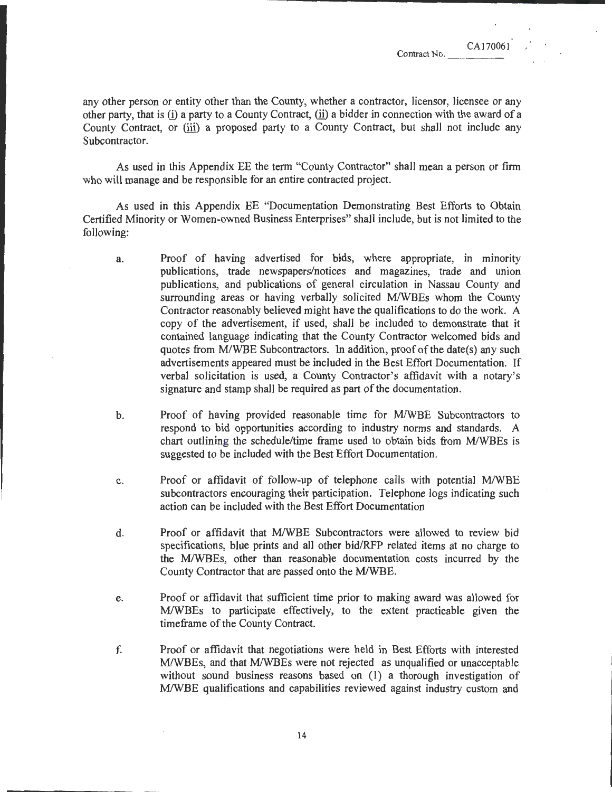any other person or entity other than the County, whether a contractor, licensor, licensee or any other party, that is  $(i)$  a party to a County Contract,  $(ii)$  a bidder in connection with the award of a County Contract, or (iii) a proposed party to a County Contract, but shall not include any Subcontractor.

As used in this Appendix EE the term "County Contractor" shall mean a person or firm who will manage and be responsible for an entire contracted project.

As used in this Appendix EE "Documentation Demonstrating Best Efforts to Obtain Certified Minority or Women-owned Business Enterprises" shall include, but is not limited to the following:

- a. Proof of having advertised for bids, where appropriate, in minority publications, trade newspapers/notices and magazines, trade and union publications, and publications of general circulation in Nassau County and surrounding areas or having verbally solicited M/WBEs whom the County Contractor reasonably believed might have the qualifications to do the work. A copy of the advertisement, if used, shall be included to demonstrate that it contained language indicating that the County Contractor welcomed bids and quotes from M/WBE Subcontractors. In addition, proof of the date(s) any such advertisements appeared must be included in the Best Effort Documentation. If verbal solicitation is used, a County Contractor's affidavit with a notary's signature and stamp shall be required as part of the documentation.
- b. Proof of having provided reasonable time for M/WBE Subcontractors to respond to bid opportunities according to industry norms and standards. A chart outlining the schedule/time frame used to obtain bids from M/WBEs is suggested to be included with the Best Effort Documentation.
- c. Proof or affidavit of follow-up of telephone calls with potential M/WBE subcontractors encouraging their participation. Telephone logs indicating such action can be included with the Best Effort Documentation
- d. Proof or affidavit that MIWBE Subcontractors were allowed to review bid specifications, blue prints and all other bid/RFP related items at no charge to the MIWBEs, other than reasonable documentation costs incurred by the County Contractor that are passed onto the MIWBE.
- e. Proof or affidavit that sufficient time prior to making award was allowed for M/WBEs to participate effectively, to the extent practicable given the time frame of the County Contract.
- f. Proof or affidavit that negotiations were held in Best Efforts with interested M/WBEs, and that M/WBEs were not rejected as unqualified or unacceptable without sound business reasons based on (1) a thorough investigation of MIWBE qualifications and capabilities reviewed against industry custom and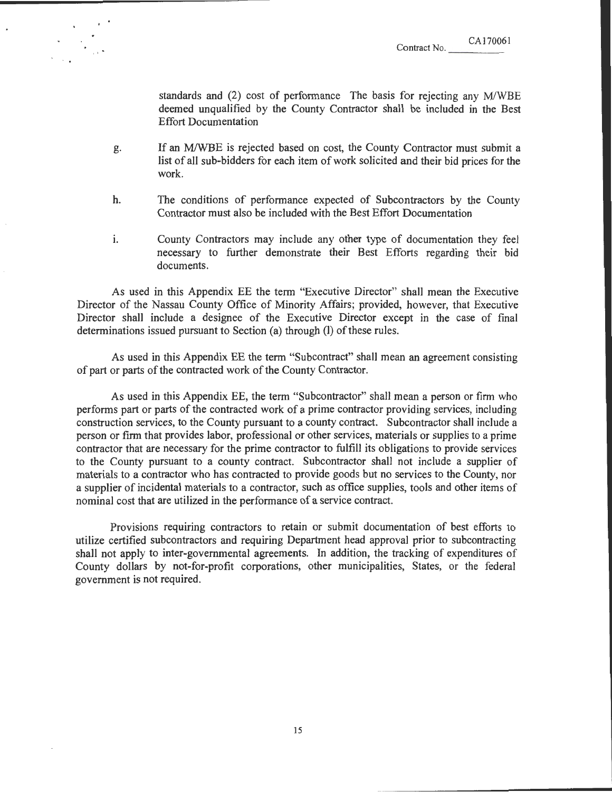standards and (2) cost of performance The basis for rejecting any M/WBE deemed unqualified by the County Contractor shall be included in the Best Effort Documentation

- g. If an MIWBE is rejected based on cost, the County Contractor must submit a list of all sub-bidders for each item of work solicited and their bid prices for the work.
- h. The conditions of performance expected of Subcontractors by the County Contractor must also be included with the Best Effort Documentation
- i. County Contractors may include any other type of documentation they feel necessary to further demonstrate their Best Efforts regarding their bid documents.

As used in this Appendix EE the term "Executive Director" shall mean the Executive Director of the Nassau County Office of Minority Affairs; provided, however, that Executive Director shall include a designee of the Executive Director except in the case of final determinations issued pursuant to Section (a) through (I) of these rules.

As used in this Appendix EE the term "Subcontract" shall mean an agreement consisting of part or parts of the contracted work of the County Contractor.

As used in this Appendix EE, the term "Subcontractor" shall mean a person or firm who performs part or parts of the contracted work of a prime contractor providing services, including construction services, to the County pursuant to a county contract. Subcontractor shall include a person or firm that provides labor, professional or other services, materials or supplies to a prime contractor that are necessary for the prime contractor to fulfill its obligations to provide services to the County pursuant to a county contract. Subcontractor shall not include a supplier of materials to a contractor who has contracted to provide goods but no services to the County, nor a supplier of incidental materials to a contractor, such as office supplies, tools and other items of nominal cost that are utilized in the performance of a service contract.

Provisions requiring contractors to retain or submit documentation of best efforts to utilize certified subcontractors and requiring Department head approval prior to subcontracting shall not apply to inter-governmental agreements. In addition, the tracking of expenditures of County dollars by not-for-profit corporations, other municipalities, States, or the federal government is not required.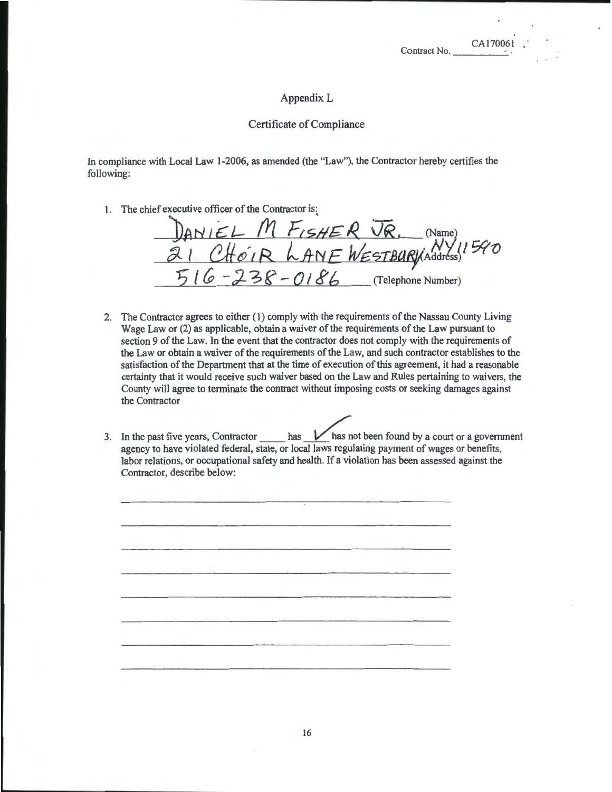### Appendix L

### Certificate of Compliance

In compliance with Local Law I-2006, as amended (the "Law"), the Contractor hereby certifies the following:

I. The chief executive officer of the Contractor is:

DANIEL M FISHER JR, (Name) 21 CHOIR LANE WESTBURNAddress)<sup>1940</sup> 16 - 238 - 0186 (Telephone Number)

- 2. The Contractor agrees to either (I) comply with the requirements of the Nassau County Living Wage Law or (2) as applicable, obtain a waiver of the requirements of the Law pursuant to section 9 of the Law. In the event that the contractor does not comply with the requirements of the Law or obtain a waiver of the requirements of the Law, and such contractor establishes to the satisfaction of the Department that at the time of execution of this agreement, it had a reasonable certainty that it would receive such waiver based on the Law and Rules pertaining to waivers, the County will agree to terminate the contract without imposing costs or seeking damages against the Contractor
- 3. In the past five years, Contractor  $\_\_\_\_\_\_\_\_\$  has not been found by a court or a government agency to have violated federal, state, or local laws regulating payment of wages or benefits, labor relations, or occupational safety and health. If a violation has been assessed against the Contractor, describe below: